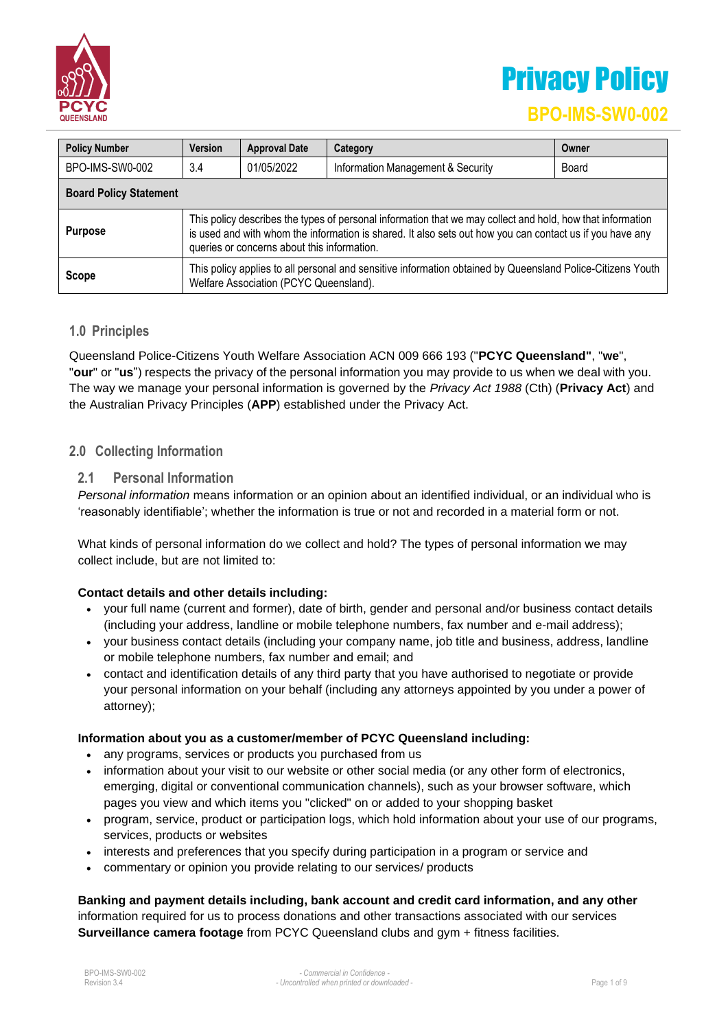

# Privacy Policy

### **BPO-IMS-SW0-002**

| <b>Policy Number</b>          | <b>Version</b>                                                                                                                                                                                                                                                        | <b>Approval Date</b> | Category                          | Owner |  |
|-------------------------------|-----------------------------------------------------------------------------------------------------------------------------------------------------------------------------------------------------------------------------------------------------------------------|----------------------|-----------------------------------|-------|--|
| BPO-IMS-SW0-002               | 3.4                                                                                                                                                                                                                                                                   | 01/05/2022           | Information Management & Security | Board |  |
| <b>Board Policy Statement</b> |                                                                                                                                                                                                                                                                       |                      |                                   |       |  |
| <b>Purpose</b>                | This policy describes the types of personal information that we may collect and hold, how that information<br>is used and with whom the information is shared. It also sets out how you can contact us if you have any<br>queries or concerns about this information. |                      |                                   |       |  |
| <b>Scope</b>                  | This policy applies to all personal and sensitive information obtained by Queensland Police-Citizens Youth<br>Welfare Association (PCYC Queensland).                                                                                                                  |                      |                                   |       |  |

#### **1.0 Principles**

Queensland Police-Citizens Youth Welfare Association ACN 009 666 193 ("**PCYC Queensland"**, "**we**", "**our**" or "**us**") respects the privacy of the personal information you may provide to us when we deal with you. The way we manage your personal information is governed by the *Privacy Act 1988* (Cth) (**Privacy Act**) and the Australian Privacy Principles (**APP**) established under the Privacy Act.

#### **2.0 Collecting Information**

#### **2.1 Personal Information**

*Personal information* means information or an opinion about an identified individual, or an individual who is 'reasonably identifiable'; whether the information is true or not and recorded in a material form or not.

What kinds of personal information do we collect and hold? The types of personal information we may collect include, but are not limited to:

#### **Contact details and other details including:**

- your full name (current and former), date of birth, gender and personal and/or business contact details (including your address, landline or mobile telephone numbers, fax number and e-mail address);
- your business contact details (including your company name, job title and business, address, landline or mobile telephone numbers, fax number and email; and
- contact and identification details of any third party that you have authorised to negotiate or provide your personal information on your behalf (including any attorneys appointed by you under a power of attorney);

#### **Information about you as a customer/member of PCYC Queensland including:**

- any programs, services or products you purchased from us
- information about your visit to our website or other social media (or any other form of electronics, emerging, digital or conventional communication channels), such as your browser software, which pages you view and which items you "clicked" on or added to your shopping basket
- program, service, product or participation logs, which hold information about your use of our programs, services, products or websites
- interests and preferences that you specify during participation in a program or service and
- commentary or opinion you provide relating to our services/ products

**Banking and payment details including, bank account and credit card information, and any other** information required for us to process donations and other transactions associated with our services **Surveillance camera footage** from PCYC Queensland clubs and gym + fitness facilities.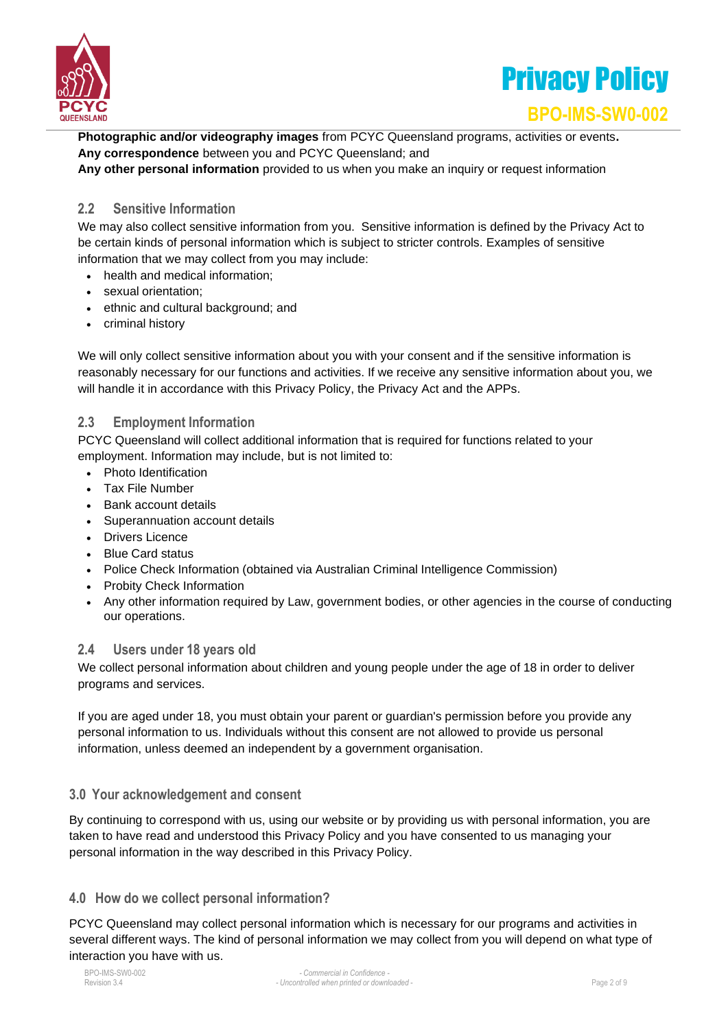



**Photographic and/or videography images** from PCYC Queensland programs, activities or events**. Any correspondence** between you and PCYC Queensland; and **Any other personal information** provided to us when you make an inquiry or request information

#### **2.2 Sensitive Information**

We may also collect sensitive information from you. Sensitive information is defined by the Privacy Act to be certain kinds of personal information which is subject to stricter controls. Examples of sensitive information that we may collect from you may include:

- health and medical information;
- sexual orientation;
- ethnic and cultural background; and
- criminal history

We will only collect sensitive information about you with your consent and if the sensitive information is reasonably necessary for our functions and activities. If we receive any sensitive information about you, we will handle it in accordance with this Privacy Policy, the Privacy Act and the APPs.

#### **2.3 Employment Information**

PCYC Queensland will collect additional information that is required for functions related to your employment. Information may include, but is not limited to:

- Photo Identification
- Tax File Number
- Bank account details
- Superannuation account details
- Drivers Licence
- Blue Card status
- Police Check Information (obtained via Australian Criminal Intelligence Commission)
- Probity Check Information
- Any other information required by Law, government bodies, or other agencies in the course of conducting our operations.

#### **2.4 Users under 18 years old**

We collect personal information about children and young people under the age of 18 in order to deliver programs and services.

If you are aged under 18, you must obtain your parent or guardian's permission before you provide any personal information to us. Individuals without this consent are not allowed to provide us personal information, unless deemed an independent by a government organisation.

#### **3.0 Your acknowledgement and consent**

By continuing to correspond with us, using our website or by providing us with personal information, you are taken to have read and understood this Privacy Policy and you have consented to us managing your personal information in the way described in this Privacy Policy.

#### **4.0 How do we collect personal information?**

PCYC Queensland may collect personal information which is necessary for our programs and activities in several different ways. The kind of personal information we may collect from you will depend on what type of interaction you have with us.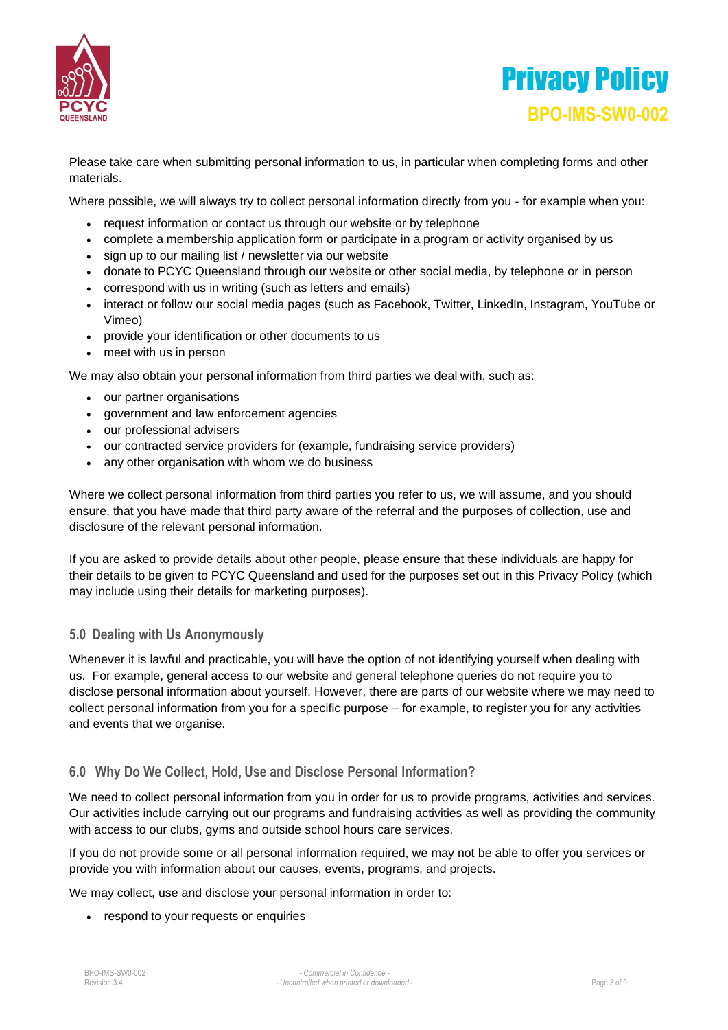

Please take care when submitting personal information to us, in particular when completing forms and other materials.

Where possible, we will always try to collect personal information directly from you - for example when you:

- request information or contact us through our website or by telephone
- complete a membership application form or participate in a program or activity organised by us
- sign up to our mailing list / newsletter via our website
- donate to PCYC Queensland through our website or other social media, by telephone or in person
- correspond with us in writing (such as letters and emails)
- interact or follow our social media pages (such as Facebook, Twitter, LinkedIn, Instagram, YouTube or Vimeo)
- provide your identification or other documents to us
- meet with us in person

We may also obtain your personal information from third parties we deal with, such as:

- our partner organisations
- government and law enforcement agencies
- our professional advisers
- our contracted service providers for (example, fundraising service providers)
- any other organisation with whom we do business

Where we collect personal information from third parties you refer to us, we will assume, and you should ensure, that you have made that third party aware of the referral and the purposes of collection, use and disclosure of the relevant personal information.

If you are asked to provide details about other people, please ensure that these individuals are happy for their details to be given to PCYC Queensland and used for the purposes set out in this Privacy Policy (which may include using their details for marketing purposes).

#### **5.0 Dealing with Us Anonymously**

Whenever it is lawful and practicable, you will have the option of not identifying yourself when dealing with us. For example, general access to our website and general telephone queries do not require you to disclose personal information about yourself. However, there are parts of our website where we may need to collect personal information from you for a specific purpose – for example, to register you for any activities and events that we organise.

#### **6.0 Why Do We Collect, Hold, Use and Disclose Personal Information?**

We need to collect personal information from you in order for us to provide programs, activities and services. Our activities include carrying out our programs and fundraising activities as well as providing the community with access to our clubs, gyms and outside school hours care services.

If you do not provide some or all personal information required, we may not be able to offer you services or provide you with information about our causes, events, programs, and projects.

We may collect, use and disclose your personal information in order to:

• respond to your requests or enquiries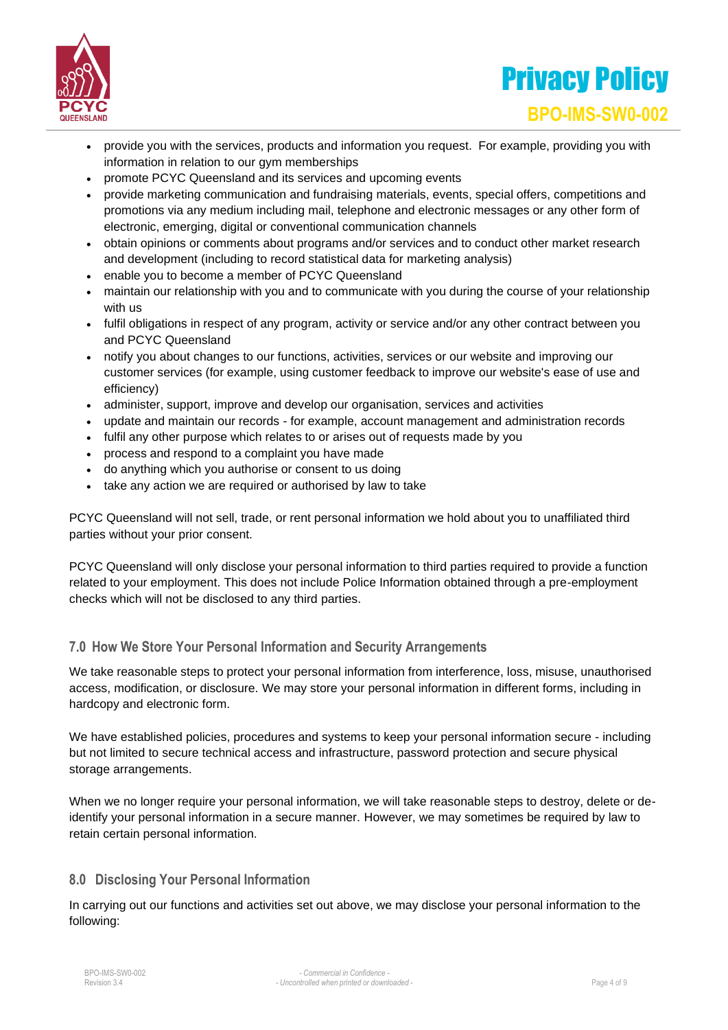



- provide you with the services, products and information you request. For example, providing you with information in relation to our gym memberships
- promote PCYC Queensland and its services and upcoming events
- provide marketing communication and fundraising materials, events, special offers, competitions and promotions via any medium including mail, telephone and electronic messages or any other form of electronic, emerging, digital or conventional communication channels
- obtain opinions or comments about programs and/or services and to conduct other market research and development (including to record statistical data for marketing analysis)
- enable you to become a member of PCYC Queensland
- maintain our relationship with you and to communicate with you during the course of your relationship with us
- fulfil obligations in respect of any program, activity or service and/or any other contract between you and PCYC Queensland
- notify you about changes to our functions, activities, services or our website and improving our customer services (for example, using customer feedback to improve our website's ease of use and efficiency)
- administer, support, improve and develop our organisation, services and activities
- update and maintain our records for example, account management and administration records
- fulfil any other purpose which relates to or arises out of requests made by you
- process and respond to a complaint you have made
- do anything which you authorise or consent to us doing
- take any action we are required or authorised by law to take

PCYC Queensland will not sell, trade, or rent personal information we hold about you to unaffiliated third parties without your prior consent.

PCYC Queensland will only disclose your personal information to third parties required to provide a function related to your employment. This does not include Police Information obtained through a pre-employment checks which will not be disclosed to any third parties.

#### **7.0 How We Store Your Personal Information and Security Arrangements**

We take reasonable steps to protect your personal information from interference, loss, misuse, unauthorised access, modification, or disclosure. We may store your personal information in different forms, including in hardcopy and electronic form.

We have established policies, procedures and systems to keep your personal information secure - including but not limited to secure technical access and infrastructure, password protection and secure physical storage arrangements.

When we no longer require your personal information, we will take reasonable steps to destroy, delete or deidentify your personal information in a secure manner. However, we may sometimes be required by law to retain certain personal information.

#### **8.0 Disclosing Your Personal Information**

In carrying out our functions and activities set out above, we may disclose your personal information to the following: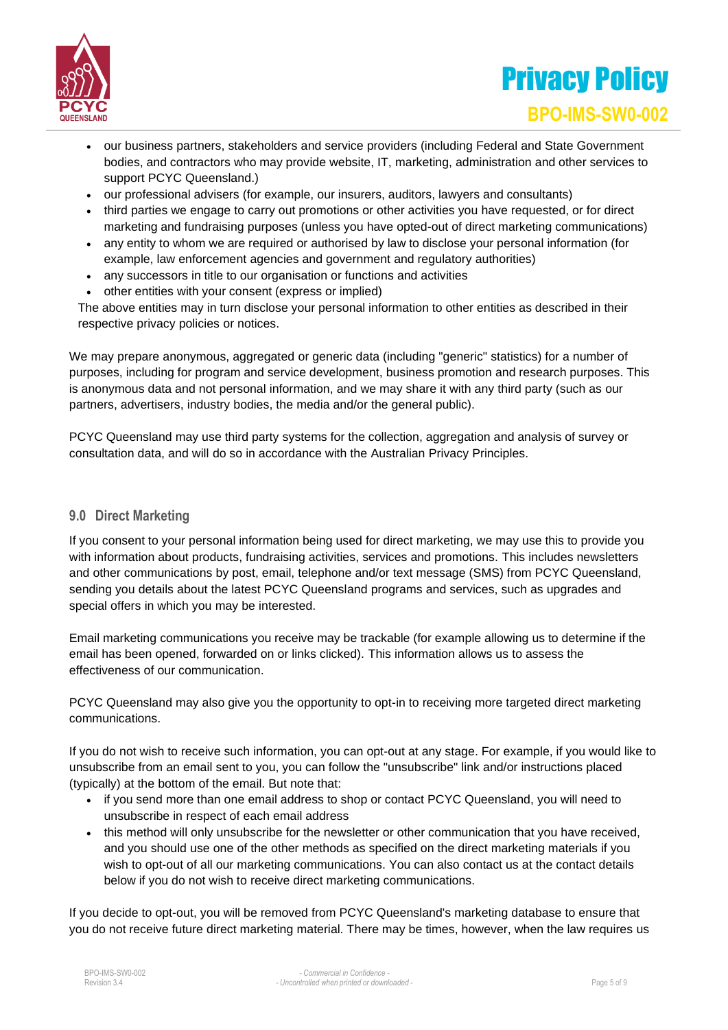

## Privacy Policy **BPO-IMS-SW0-002**

- our business partners, stakeholders and service providers (including Federal and State Government bodies, and contractors who may provide website, IT, marketing, administration and other services to support PCYC Queensland.)
- our professional advisers (for example, our insurers, auditors, lawyers and consultants)
- third parties we engage to carry out promotions or other activities you have requested, or for direct marketing and fundraising purposes (unless you have opted-out of direct marketing communications)
- any entity to whom we are required or authorised by law to disclose your personal information (for example, law enforcement agencies and government and regulatory authorities)
- any successors in title to our organisation or functions and activities
- other entities with your consent (express or implied)

The above entities may in turn disclose your personal information to other entities as described in their respective privacy policies or notices.

We may prepare anonymous, aggregated or generic data (including "generic" statistics) for a number of purposes, including for program and service development, business promotion and research purposes. This is anonymous data and not personal information, and we may share it with any third party (such as our partners, advertisers, industry bodies, the media and/or the general public).

PCYC Queensland may use third party systems for the collection, aggregation and analysis of survey or consultation data, and will do so in accordance with the Australian Privacy Principles.

#### **9.0 Direct Marketing**

If you consent to your personal information being used for direct marketing, we may use this to provide you with information about products, fundraising activities, services and promotions. This includes newsletters and other communications by post, email, telephone and/or text message (SMS) from PCYC Queensland, sending you details about the latest PCYC Queensland programs and services, such as upgrades and special offers in which you may be interested.

Email marketing communications you receive may be trackable (for example allowing us to determine if the email has been opened, forwarded on or links clicked). This information allows us to assess the effectiveness of our communication.

PCYC Queensland may also give you the opportunity to opt-in to receiving more targeted direct marketing communications.

If you do not wish to receive such information, you can opt-out at any stage. For example, if you would like to unsubscribe from an email sent to you, you can follow the "unsubscribe" link and/or instructions placed (typically) at the bottom of the email. But note that:

- if you send more than one email address to shop or contact PCYC Queensland, you will need to unsubscribe in respect of each email address
- this method will only unsubscribe for the newsletter or other communication that you have received, and you should use one of the other methods as specified on the direct marketing materials if you wish to opt-out of all our marketing communications. You can also contact us at the contact details below if you do not wish to receive direct marketing communications.

If you decide to opt-out, you will be removed from PCYC Queensland's marketing database to ensure that you do not receive future direct marketing material. There may be times, however, when the law requires us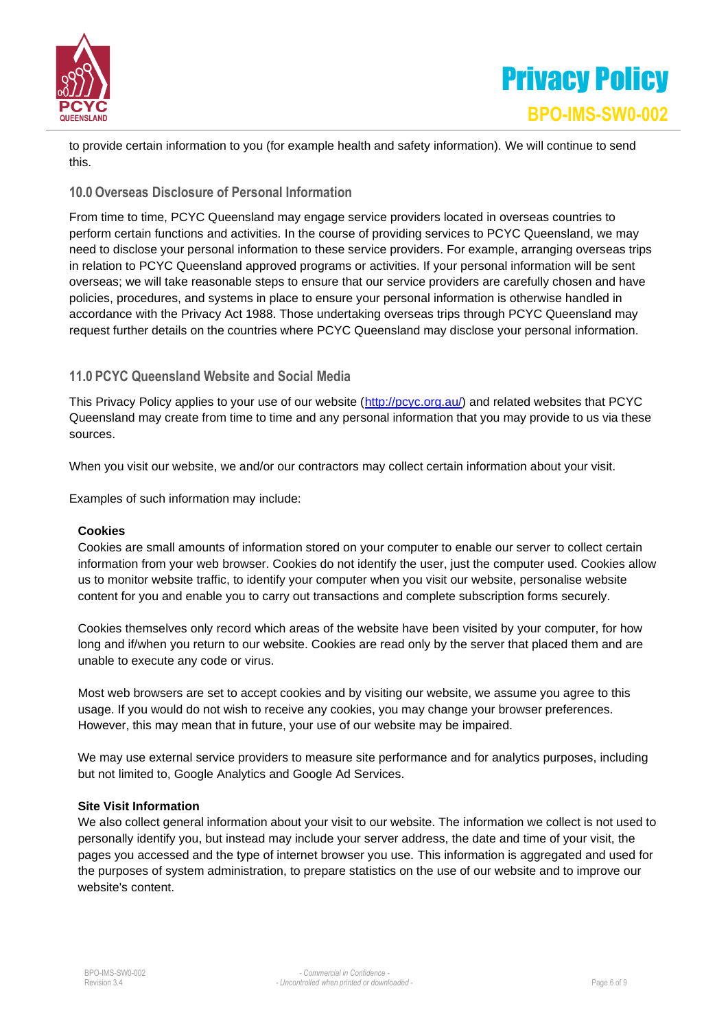

## Privacy Policy **BPO-IMS-SW0-002**

to provide certain information to you (for example health and safety information). We will continue to send this.

#### **10.0 Overseas Disclosure of Personal Information**

From time to time, PCYC Queensland may engage service providers located in overseas countries to perform certain functions and activities. In the course of providing services to PCYC Queensland, we may need to disclose your personal information to these service providers. For example, arranging overseas trips in relation to PCYC Queensland approved programs or activities. If your personal information will be sent overseas; we will take reasonable steps to ensure that our service providers are carefully chosen and have policies, procedures, and systems in place to ensure your personal information is otherwise handled in accordance with the Privacy Act 1988. Those undertaking overseas trips through PCYC Queensland may request further details on the countries where PCYC Queensland may disclose your personal information.

#### **11.0 PCYC Queensland Website and Social Media**

This Privacy Policy applies to your use of our website [\(http://pcyc.org.au/\)](http://pcyc.org.au/) and related websites that PCYC Queensland may create from time to time and any personal information that you may provide to us via these sources.

When you visit our website, we and/or our contractors may collect certain information about your visit.

Examples of such information may include:

#### **Cookies**

Cookies are small amounts of information stored on your computer to enable our server to collect certain information from your web browser. Cookies do not identify the user, just the computer used. Cookies allow us to monitor website traffic, to identify your computer when you visit our website, personalise website content for you and enable you to carry out transactions and complete subscription forms securely.

Cookies themselves only record which areas of the website have been visited by your computer, for how long and if/when you return to our website. Cookies are read only by the server that placed them and are unable to execute any code or virus.

Most web browsers are set to accept cookies and by visiting our website, we assume you agree to this usage. If you would do not wish to receive any cookies, you may change your browser preferences. However, this may mean that in future, your use of our website may be impaired.

We may use external service providers to measure site performance and for analytics purposes, including but not limited to, Google Analytics and Google Ad Services.

#### **Site Visit Information**

We also collect general information about your visit to our website. The information we collect is not used to personally identify you, but instead may include your server address, the date and time of your visit, the pages you accessed and the type of internet browser you use. This information is aggregated and used for the purposes of system administration, to prepare statistics on the use of our website and to improve our website's content.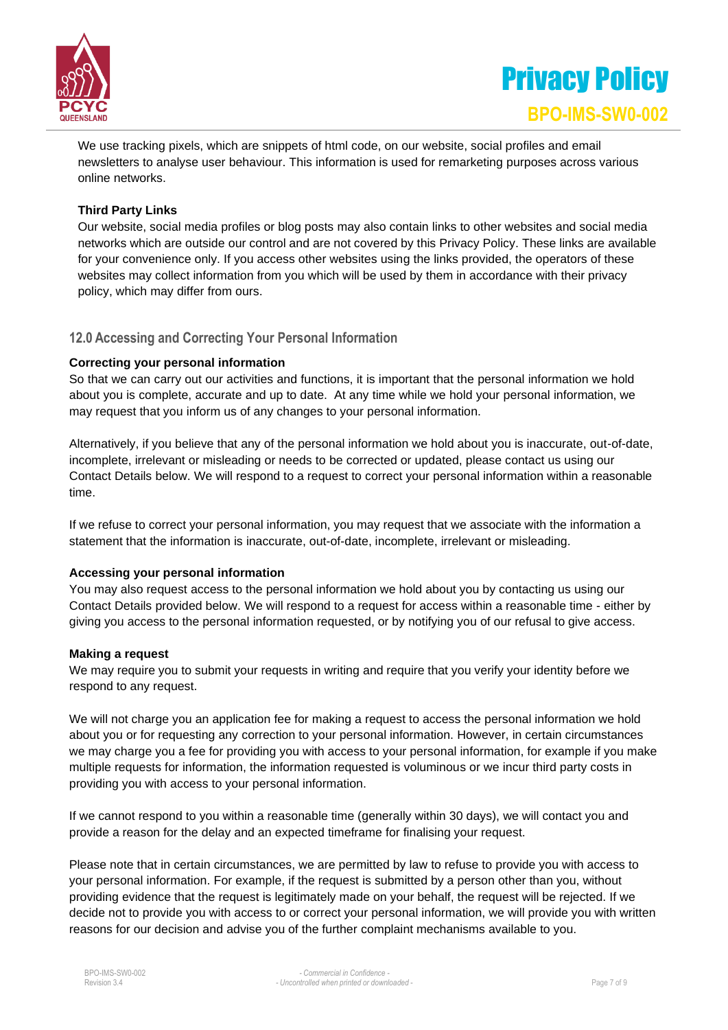

We use tracking pixels, which are snippets of html code, on our website, social profiles and email newsletters to analyse user behaviour. This information is used for remarketing purposes across various online networks.

#### **Third Party Links**

Our website, social media profiles or blog posts may also contain links to other websites and social media networks which are outside our control and are not covered by this Privacy Policy. These links are available for your convenience only. If you access other websites using the links provided, the operators of these websites may collect information from you which will be used by them in accordance with their privacy policy, which may differ from ours.

#### **12.0 Accessing and Correcting Your Personal Information**

#### **Correcting your personal information**

So that we can carry out our activities and functions, it is important that the personal information we hold about you is complete, accurate and up to date. At any time while we hold your personal information, we may request that you inform us of any changes to your personal information.

Alternatively, if you believe that any of the personal information we hold about you is inaccurate, out-of-date, incomplete, irrelevant or misleading or needs to be corrected or updated, please contact us using our Contact Details below. We will respond to a request to correct your personal information within a reasonable time.

If we refuse to correct your personal information, you may request that we associate with the information a statement that the information is inaccurate, out-of-date, incomplete, irrelevant or misleading.

#### **Accessing your personal information**

You may also request access to the personal information we hold about you by contacting us using our Contact Details provided below. We will respond to a request for access within a reasonable time - either by giving you access to the personal information requested, or by notifying you of our refusal to give access.

#### **Making a request**

We may require you to submit your requests in writing and require that you verify your identity before we respond to any request.

We will not charge you an application fee for making a request to access the personal information we hold about you or for requesting any correction to your personal information. However, in certain circumstances we may charge you a fee for providing you with access to your personal information, for example if you make multiple requests for information, the information requested is voluminous or we incur third party costs in providing you with access to your personal information.

If we cannot respond to you within a reasonable time (generally within 30 days), we will contact you and provide a reason for the delay and an expected timeframe for finalising your request.

Please note that in certain circumstances, we are permitted by law to refuse to provide you with access to your personal information. For example, if the request is submitted by a person other than you, without providing evidence that the request is legitimately made on your behalf, the request will be rejected. If we decide not to provide you with access to or correct your personal information, we will provide you with written reasons for our decision and advise you of the further complaint mechanisms available to you.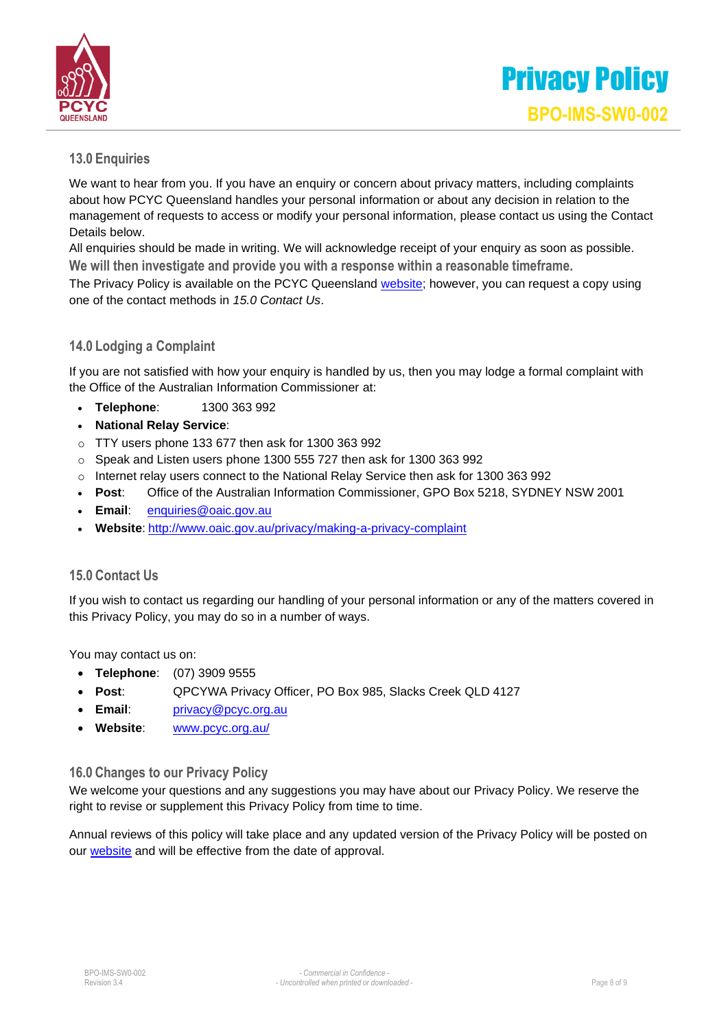

#### **13.0 Enquiries**

We want to hear from you. If you have an enquiry or concern about privacy matters, including complaints about how PCYC Queensland handles your personal information or about any decision in relation to the management of requests to access or modify your personal information, please contact us using the Contact Details below.

All enquiries should be made in writing. We will acknowledge receipt of your enquiry as soon as possible. **We will then investigate and provide you with a response within a reasonable timeframe.**

The Privacy Policy is available on the PCYC Queensland [website; h](http://www.pcyc.org.au/)owever, you can request a copy using one of the contact methods in *15.0 Contact Us*.

#### **14.0 Lodging a Complaint**

If you are not satisfied with how your enquiry is handled by us, then you may lodge a formal complaint with the Office of the Australian Information Commissioner at:

- **Telephone**: 1300 363 992
- **National Relay Service**:
- o TTY users phone 133 677 then ask for 1300 363 992
- o Speak and Listen users phone 1300 555 727 then ask for 1300 363 992
- o Internet relay users connect to the National Relay Service then ask for 1300 363 992
- **Post**: Office of the Australian Information Commissioner, GPO Box 5218, SYDNEY NSW 2001
- **Email**: [enquiries@oaic.gov.au](mailto:enquiries@oaic.gov.au)
- **Website**: <http://www.oaic.gov.au/privacy/making-a-privacy-complaint>

#### **15.0 Contact Us**

If you wish to contact us regarding our handling of your personal information or any of the matters covered in this Privacy Policy, you may do so in a number of ways.

You may contact us on:

- **Telephone**: (07) 3909 9555
- **Post**: QPCYWA Privacy Officer, PO Box 985, Slacks Creek QLD 4127
- **Email**: [privacy@pcyc.org.au](mailto:privacy@pcyc.org.au)
- **Website**: [www.pcyc.org.au/](http://www.pcyc.org.au/)

#### **16.0 Changes to our Privacy Policy**

We welcome your questions and any suggestions you may have about our Privacy Policy. We reserve the right to revise or supplement this Privacy Policy from time to time.

Annual reviews of this policy will take place and any updated version of the Privacy Policy will be posted on our [website](http://www.pcyc.org.au/) and will be effective from the date of approval.